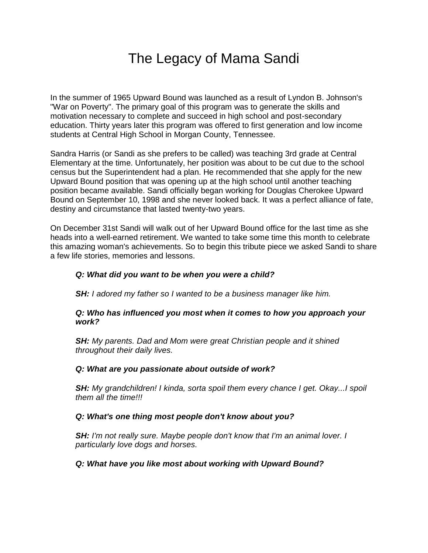# The Legacy of Mama Sandi

In the summer of 1965 Upward Bound was launched as a result of Lyndon B. Johnson's "War on Poverty". The primary goal of this program was to generate the skills and motivation necessary to complete and succeed in high school and post-secondary education. Thirty years later this program was offered to first generation and low income students at Central High School in Morgan County, Tennessee.

Sandra Harris (or Sandi as she prefers to be called) was teaching 3rd grade at Central Elementary at the time. Unfortunately, her position was about to be cut due to the school census but the Superintendent had a plan. He recommended that she apply for the new Upward Bound position that was opening up at the high school until another teaching position became available. Sandi officially began working for Douglas Cherokee Upward Bound on September 10, 1998 and she never looked back. It was a perfect alliance of fate, destiny and circumstance that lasted twenty-two years.

On December 31st Sandi will walk out of her Upward Bound office for the last time as she heads into a well-earned retirement. We wanted to take some time this month to celebrate this amazing woman's achievements. So to begin this tribute piece we asked Sandi to share a few life stories, memories and lessons.

## *Q: What did you want to be when you were a child?*

*SH: I adored my father so I wanted to be a business manager like him.*

### *Q: Who has influenced you most when it comes to how you approach your work?*

*SH: My parents. Dad and Mom were great Christian people and it shined throughout their daily lives.*

### *Q: What are you passionate about outside of work?*

*SH: My grandchildren! I kinda, sorta spoil them every chance I get. Okay...I spoil them all the time!!!*

### *Q: What's one thing most people don't know about you?*

*SH: I'm not really sure. Maybe people don't know that I'm an animal lover. I particularly love dogs and horses.*

### *Q: What have you like most about working with Upward Bound?*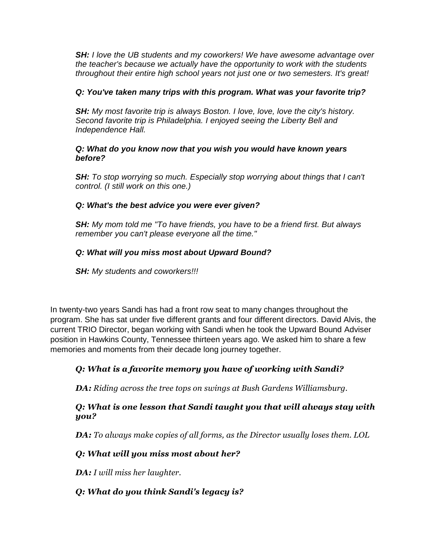*SH: I love the UB students and my coworkers! We have awesome advantage over the teacher's because we actually have the opportunity to work with the students throughout their entire high school years not just one or two semesters. It's great!*

## *Q: You've taken many trips with this program. What was your favorite trip?*

*SH: My most favorite trip is always Boston. I love, love, love the city's history. Second favorite trip is Philadelphia. I enjoyed seeing the Liberty Bell and Independence Hall.*

## *Q: What do you know now that you wish you would have known years before?*

*SH: To stop worrying so much. Especially stop worrying about things that I can't control. (I still work on this one.)*

# *Q: What's the best advice you were ever given?*

*SH: My mom told me "To have friends, you have to be a friend first. But always remember you can't please everyone all the time."*

# *Q: What will you miss most about Upward Bound?*

*SH: My students and coworkers!!!*

In twenty-two years Sandi has had a front row seat to many changes throughout the program. She has sat under five different grants and four different directors. David Alvis, the current TRIO Director, began working with Sandi when he took the Upward Bound Adviser position in Hawkins County, Tennessee thirteen years ago. We asked him to share a few memories and moments from their decade long journey together.

# *Q: What is a favorite memory you have of working with Sandi?*

*DA: Riding across the tree tops on swings at Bush Gardens Williamsburg.* 

# *Q: What is one lesson that Sandi taught you that will always stay with you?*

*DA: To always make copies of all forms, as the Director usually loses them. LOL*

# *Q: What will you miss most about her?*

*DA: I will miss her laughter.* 

# *Q: What do you think Sandi's legacy is?*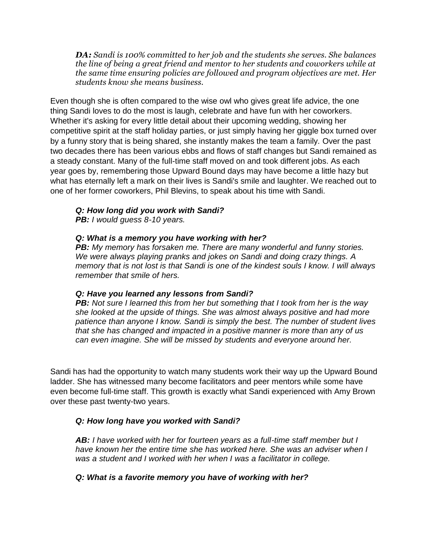*DA: Sandi is 100% committed to her job and the students she serves. She balances the line of being a great friend and mentor to her students and coworkers while at the same time ensuring policies are followed and program objectives are met. Her students know she means business.* 

Even though she is often compared to the wise owl who gives great life advice, the one thing Sandi loves to do the most is laugh, celebrate and have fun with her coworkers. Whether it's asking for every little detail about their upcoming wedding, showing her competitive spirit at the staff holiday parties, or just simply having her giggle box turned over by a funny story that is being shared, she instantly makes the team a family. Over the past two decades there has been various ebbs and flows of staff changes but Sandi remained as a steady constant. Many of the full-time staff moved on and took different jobs. As each year goes by, remembering those Upward Bound days may have become a little hazy but what has eternally left a mark on their lives is Sandi's smile and laughter. We reached out to one of her former coworkers, Phil Blevins, to speak about his time with Sandi.

# *Q: How long did you work with Sandi?*

*PB: I would guess 8-10 years.* 

### *Q: What is a memory you have working with her?*

*PB: My memory has forsaken me. There are many wonderful and funny stories. We were always playing pranks and jokes on Sandi and doing crazy things. A memory that is not lost is that Sandi is one of the kindest souls I know. I will always remember that smile of hers.* 

### *Q: Have you learned any lessons from Sandi?*

**PB:** Not sure I learned this from her but something that I took from her is the way *she looked at the upside of things. She was almost always positive and had more patience than anyone I know. Sandi is simply the best. The number of student lives that she has changed and impacted in a positive manner is more than any of us can even imagine. She will be missed by students and everyone around her.*

Sandi has had the opportunity to watch many students work their way up the Upward Bound ladder. She has witnessed many become facilitators and peer mentors while some have even become full-time staff. This growth is exactly what Sandi experienced with Amy Brown over these past twenty-two years.

## *Q: How long have you worked with Sandi?*

*AB: I have worked with her for fourteen years as a full-time staff member but I have known her the entire time she has worked here. She was an adviser when I was a student and I worked with her when I was a facilitator in college.* 

### *Q: What is a favorite memory you have of working with her?*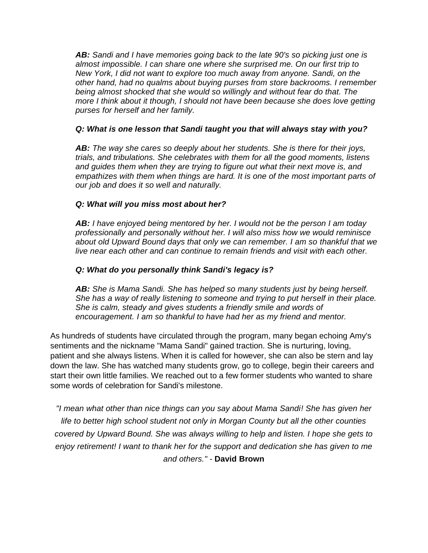*AB: Sandi and I have memories going back to the late 90's so picking just one is almost impossible. I can share one where she surprised me. On our first trip to New York, I did not want to explore too much away from anyone. Sandi, on the other hand, had no qualms about buying purses from store backrooms. I remember being almost shocked that she would so willingly and without fear do that. The more I think about it though, I should not have been because she does love getting purses for herself and her family.* 

## *Q: What is one lesson that Sandi taught you that will always stay with you?*

*AB: The way she cares so deeply about her students. She is there for their joys, trials, and tribulations. She celebrates with them for all the good moments, listens and guides them when they are trying to figure out what their next move is, and empathizes with them when things are hard. It is one of the most important parts of our job and does it so well and naturally.* 

## *Q: What will you miss most about her?*

*AB: I have enjoyed being mentored by her. I would not be the person I am today professionally and personally without her. I will also miss how we would reminisce about old Upward Bound days that only we can remember. I am so thankful that we live near each other and can continue to remain friends and visit with each other.* 

## *Q: What do you personally think Sandi's legacy is?*

*AB: She is Mama Sandi. She has helped so many students just by being herself. She has a way of really listening to someone and trying to put herself in their place. She is calm, steady and gives students a friendly smile and words of encouragement. I am so thankful to have had her as my friend and mentor.* 

As hundreds of students have circulated through the program, many began echoing Amy's sentiments and the nickname "Mama Sandi" gained traction. She is nurturing, loving, patient and she always listens. When it is called for however, she can also be stern and lay down the law. She has watched many students grow, go to college, begin their careers and start their own little families. We reached out to a few former students who wanted to share some words of celebration for Sandi's milestone.

*"I mean what other than nice things can you say about Mama Sandi! She has given her life to better high school student not only in Morgan County but all the other counties covered by Upward Bound. She was always willing to help and listen. I hope she gets to enjoy retirement! I want to thank her for the support and dedication she has given to me and others." -* **David Brown**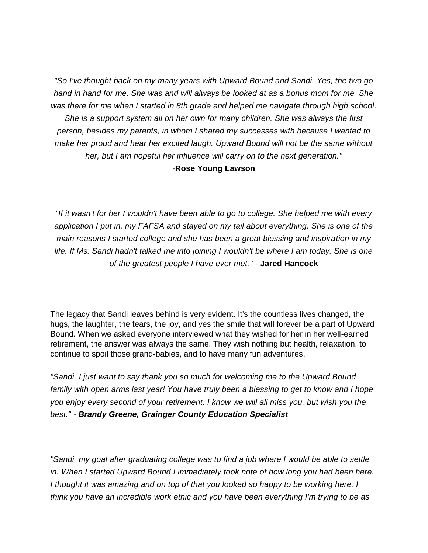*"So I've thought back on my many years with Upward Bound and Sandi. Yes, the two go hand in hand for me. She was and will always be looked at as a bonus mom for me. She was there for me when I started in 8th grade and helped me navigate through high school. She is a support system all on her own for many children. She was always the first person, besides my parents, in whom I shared my successes with because I wanted to make her proud and hear her excited laugh. Upward Bound will not be the same without her, but I am hopeful her influence will carry on to the next generation."* 

#### *-***Rose Young Lawson**

*"If it wasn't for her I wouldn't have been able to go to college. She helped me with every application I put in, my FAFSA and stayed on my tail about everything. She is one of the main reasons I started college and she has been a great blessing and inspiration in my*  life. If Ms. Sandi hadn't talked me into joining I wouldn't be where I am today. She is one *of the greatest people I have ever met." -* **Jared Hancock**

The legacy that Sandi leaves behind is very evident. It's the countless lives changed, the hugs, the laughter, the tears, the joy, and yes the smile that will forever be a part of Upward Bound. When we asked everyone interviewed what they wished for her in her well-earned retirement, the answer was always the same. They wish nothing but health, relaxation, to continue to spoil those grand-babies, and to have many fun adventures.

*"Sandi, I just want to say thank you so much for welcoming me to the Upward Bound family with open arms last year! You have truly been a blessing to get to know and I hope you enjoy every second of your retirement. I know we will all miss you, but wish you the best." - Brandy Greene, Grainger County Education Specialist*

*"Sandi, my goal after graduating college was to find a job where I would be able to settle in. When I started Upward Bound I immediately took note of how long you had been here. I thought it was amazing and on top of that you looked so happy to be working here. I think you have an incredible work ethic and you have been everything I'm trying to be as*